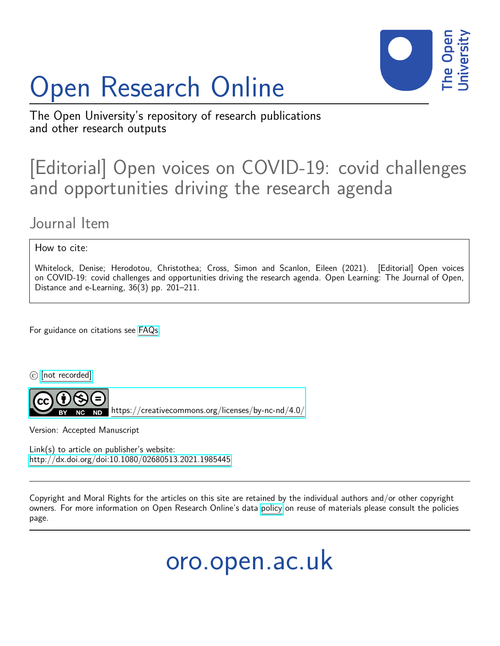# Open Research Online



The Open University's repository of research publications and other research outputs

## [Editorial] Open voices on COVID-19: covid challenges and opportunities driving the research agenda

### Journal Item

#### How to cite:

Whitelock, Denise; Herodotou, Christothea; Cross, Simon and Scanlon, Eileen (2021). [Editorial] Open voices on COVID-19: covid challenges and opportunities driving the research agenda. Open Learning: The Journal of Open, Distance and e-Learning, 36(3) pp. 201–211.

For guidance on citations see [FAQs.](http://oro.open.ac.uk/help/helpfaq.html)

 $\circled{c}$  [\[not recorded\]](http://oro.open.ac.uk/help/helpfaq.html#Unrecorded_information_on_coversheet)



<https://creativecommons.org/licenses/by-nc-nd/4.0/>

Version: Accepted Manuscript

Link(s) to article on publisher's website: <http://dx.doi.org/doi:10.1080/02680513.2021.1985445>

Copyright and Moral Rights for the articles on this site are retained by the individual authors and/or other copyright owners. For more information on Open Research Online's data [policy](http://oro.open.ac.uk/policies.html) on reuse of materials please consult the policies page.

oro.open.ac.uk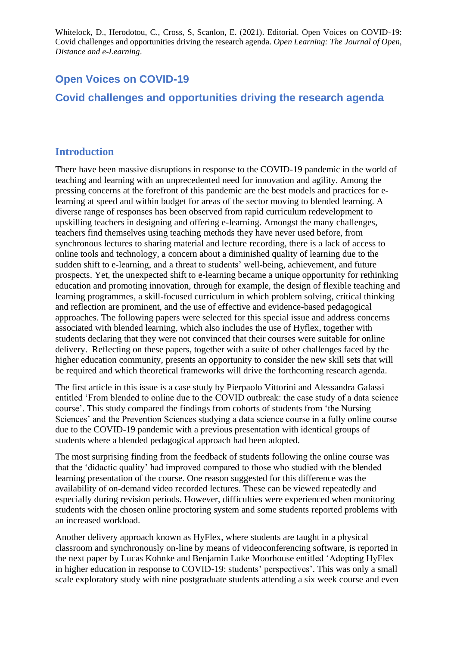#### **Open Voices on COVID-19**

#### **Covid challenges and opportunities driving the research agenda**

#### **Introduction**

There have been massive disruptions in response to the COVID-19 pandemic in the world of teaching and learning with an unprecedented need for innovation and agility. Among the pressing concerns at the forefront of this pandemic are the best models and practices for elearning at speed and within budget for areas of the sector moving to blended learning. A diverse range of responses has been observed from rapid curriculum redevelopment to upskilling teachers in designing and offering e-learning. Amongst the many challenges, teachers find themselves using teaching methods they have never used before, from synchronous lectures to sharing material and lecture recording, there is a lack of access to online tools and technology, a concern about a diminished quality of learning due to the sudden shift to e-learning, and a threat to students' well-being, achievement, and future prospects. Yet, the unexpected shift to e-learning became a unique opportunity for rethinking education and promoting innovation, through for example, the design of flexible teaching and learning programmes, a skill-focused curriculum in which problem solving, critical thinking and reflection are prominent, and the use of effective and evidence-based pedagogical approaches. The following papers were selected for this special issue and address concerns associated with blended learning, which also includes the use of Hyflex, together with students declaring that they were not convinced that their courses were suitable for online delivery. Reflecting on these papers, together with a suite of other challenges faced by the higher education community, presents an opportunity to consider the new skill sets that will be required and which theoretical frameworks will drive the forthcoming research agenda.

The first article in this issue is a case study by Pierpaolo Vittorini and Alessandra Galassi entitled 'From blended to online due to the COVID outbreak: the case study of a data science course'. This study compared the findings from cohorts of students from 'the Nursing Sciences' and the Prevention Sciences studying a data science course in a fully online course due to the COVID-19 pandemic with a previous presentation with identical groups of students where a blended pedagogical approach had been adopted.

The most surprising finding from the feedback of students following the online course was that the 'didactic quality' had improved compared to those who studied with the blended learning presentation of the course. One reason suggested for this difference was the availability of on-demand video recorded lectures. These can be viewed repeatedly and especially during revision periods. However, difficulties were experienced when monitoring students with the chosen online proctoring system and some students reported problems with an increased workload.

Another delivery approach known as HyFlex, where students are taught in a physical classroom and synchronously on-line by means of videoconferencing software, is reported in the next paper by Lucas Kohnke and Benjamin Luke Moorhouse entitled 'Adopting HyFlex in higher education in response to COVID-19: students' perspectives'. This was only a small scale exploratory study with nine postgraduate students attending a six week course and even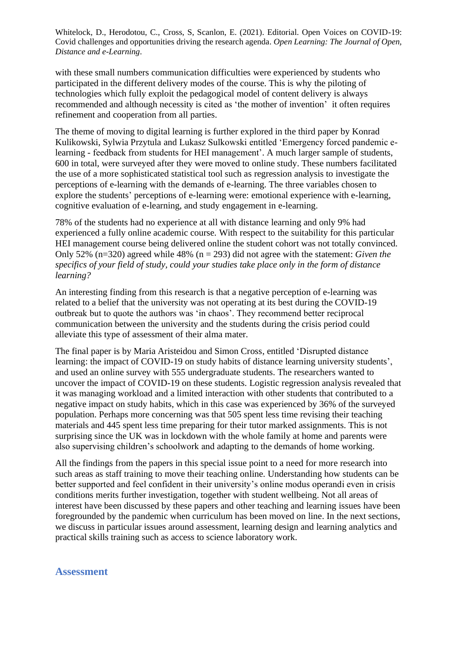with these small numbers communication difficulties were experienced by students who participated in the different delivery modes of the course. This is why the piloting of technologies which fully exploit the pedagogical model of content delivery is always recommended and although necessity is cited as 'the mother of invention' it often requires refinement and cooperation from all parties.

The theme of moving to digital learning is further explored in the third paper by Konrad Kulikowski, Sylwia Przytula and Lukasz Sulkowski entitled 'Emergency forced pandemic elearning - feedback from students for HEI management'. A much larger sample of students, 600 in total, were surveyed after they were moved to online study. These numbers facilitated the use of a more sophisticated statistical tool such as regression analysis to investigate the perceptions of e-learning with the demands of e-learning. The three variables chosen to explore the students' perceptions of e-learning were: emotional experience with e-learning, cognitive evaluation of e-learning, and study engagement in e-learning.

78% of the students had no experience at all with distance learning and only 9% had experienced a fully online academic course. With respect to the suitability for this particular HEI management course being delivered online the student cohort was not totally convinced. Only 52% (n=320) agreed while 48% (n = 293) did not agree with the statement: *Given the specifics of your field of study, could your studies take place only in the form of distance learning?* 

An interesting finding from this research is that a negative perception of e-learning was related to a belief that the university was not operating at its best during the COVID-19 outbreak but to quote the authors was 'in chaos'. They recommend better reciprocal communication between the university and the students during the crisis period could alleviate this type of assessment of their alma mater.

The final paper is by Maria Aristeidou and Simon Cross, entitled 'Disrupted distance learning: the impact of COVID-19 on study habits of distance learning university students', and used an online survey with 555 undergraduate students. The researchers wanted to uncover the impact of COVID-19 on these students. Logistic regression analysis revealed that it was managing workload and a limited interaction with other students that contributed to a negative impact on study habits, which in this case was experienced by 36% of the surveyed population. Perhaps more concerning was that 505 spent less time revising their teaching materials and 445 spent less time preparing for their tutor marked assignments. This is not surprising since the UK was in lockdown with the whole family at home and parents were also supervising children's schoolwork and adapting to the demands of home working.

All the findings from the papers in this special issue point to a need for more research into such areas as staff training to move their teaching online. Understanding how students can be better supported and feel confident in their university's online modus operandi even in crisis conditions merits further investigation, together with student wellbeing. Not all areas of interest have been discussed by these papers and other teaching and learning issues have been foregrounded by the pandemic when curriculum has been moved on line. In the next sections, we discuss in particular issues around assessment, learning design and learning analytics and practical skills training such as access to science laboratory work.

#### **Assessment**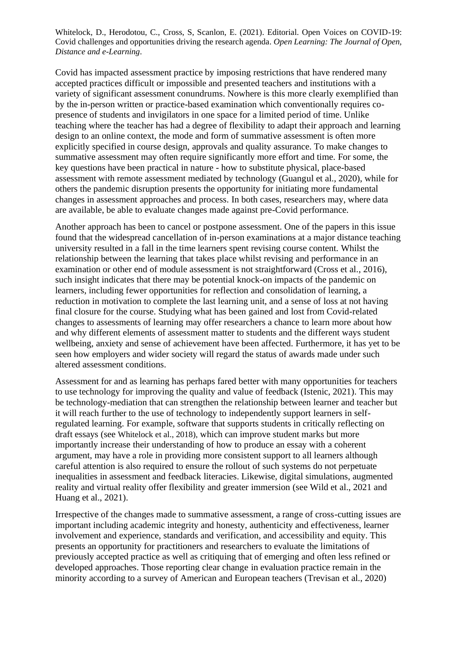Covid has impacted assessment practice by imposing restrictions that have rendered many accepted practices difficult or impossible and presented teachers and institutions with a variety of significant assessment conundrums. Nowhere is this more clearly exemplified than by the in-person written or practice-based examination which conventionally requires copresence of students and invigilators in one space for a limited period of time. Unlike teaching where the teacher has had a degree of flexibility to adapt their approach and learning design to an online context, the mode and form of summative assessment is often more explicitly specified in course design, approvals and quality assurance. To make changes to summative assessment may often require significantly more effort and time. For some, the key questions have been practical in nature - how to substitute physical, place-based assessment with remote assessment mediated by technology (Guangul et al., 2020), while for others the pandemic disruption presents the opportunity for initiating more fundamental changes in assessment approaches and process. In both cases, researchers may, where data are available, be able to evaluate changes made against pre-Covid performance.

Another approach has been to cancel or postpone assessment. One of the papers in this issue found that the widespread cancellation of in-person examinations at a major distance teaching university resulted in a fall in the time learners spent revising course content. Whilst the relationship between the learning that takes place whilst revising and performance in an examination or other end of module assessment is not straightforward (Cross et al., 2016), such insight indicates that there may be potential knock-on impacts of the pandemic on learners, including fewer opportunities for reflection and consolidation of learning, a reduction in motivation to complete the last learning unit, and a sense of loss at not having final closure for the course. Studying what has been gained and lost from Covid-related changes to assessments of learning may offer researchers a chance to learn more about how and why different elements of assessment matter to students and the different ways student wellbeing, anxiety and sense of achievement have been affected. Furthermore, it has yet to be seen how employers and wider society will regard the status of awards made under such altered assessment conditions.

Assessment for and as learning has perhaps fared better with many opportunities for teachers to use technology for improving the quality and value of feedback (Istenic, 2021). This may be technology-mediation that can strengthen the relationship between learner and teacher but it will reach further to the use of technology to independently support learners in selfregulated learning. For example, software that supports students in critically reflecting on draft essays (see Whitelock et al., 2018), which can improve student marks but more importantly increase their understanding of how to produce an essay with a coherent argument, may have a role in providing more consistent support to all learners although careful attention is also required to ensure the rollout of such systems do not perpetuate inequalities in assessment and feedback literacies. Likewise, digital simulations, augmented reality and virtual reality offer flexibility and greater immersion (see Wild et al., 2021 and Huang et al., 2021).

Irrespective of the changes made to summative assessment, a range of cross-cutting issues are important including academic integrity and honesty, authenticity and effectiveness, learner involvement and experience, standards and verification, and accessibility and equity. This presents an opportunity for practitioners and researchers to evaluate the limitations of previously accepted practice as well as critiquing that of emerging and often less refined or developed approaches. Those reporting clear change in evaluation practice remain in the minority according to a survey of American and European teachers (Trevisan et al., 2020)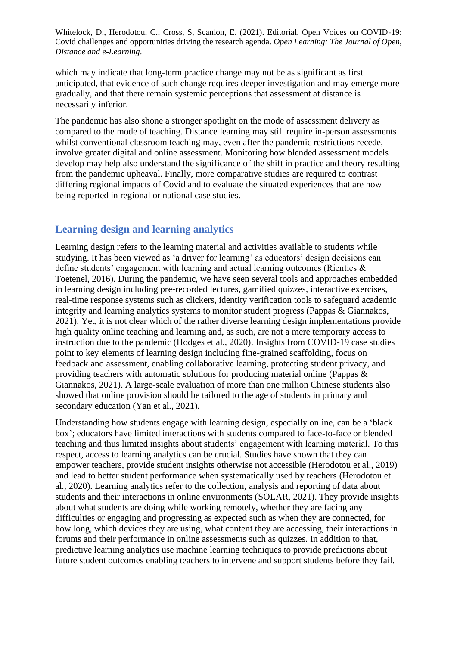which may indicate that long-term practice change may not be as significant as first anticipated, that evidence of such change requires deeper investigation and may emerge more gradually, and that there remain systemic perceptions that assessment at distance is necessarily inferior.

The pandemic has also shone a stronger spotlight on the mode of assessment delivery as compared to the mode of teaching. Distance learning may still require in-person assessments whilst conventional classroom teaching may, even after the pandemic restrictions recede. involve greater digital and online assessment. Monitoring how blended assessment models develop may help also understand the significance of the shift in practice and theory resulting from the pandemic upheaval. Finally, more comparative studies are required to contrast differing regional impacts of Covid and to evaluate the situated experiences that are now being reported in regional or national case studies.

#### **Learning design and learning analytics**

Learning design refers to the learning material and activities available to students while studying. It has been viewed as 'a driver for learning' as educators' design decisions can define students' engagement with learning and actual learning outcomes (Rienties & Toetenel, 2016). During the pandemic, we have seen several tools and approaches embedded in learning design including pre-recorded lectures, gamified quizzes, interactive exercises, real-time response systems such as clickers, identity verification tools to safeguard academic integrity and learning analytics systems to monitor student progress (Pappas & Giannakos, 2021). Yet, it is not clear which of the rather diverse learning design implementations provide high quality online teaching and learning and, as such, are not a mere temporary access to instruction due to the pandemic (Hodges et al., 2020). Insights from COVID-19 case studies point to key elements of learning design including fine-grained scaffolding, focus on feedback and assessment, enabling collaborative learning, protecting student privacy, and providing teachers with automatic solutions for producing material online (Pappas & Giannakos, 2021). A large-scale evaluation of more than one million Chinese students also showed that online provision should be tailored to the age of students in primary and secondary education (Yan et al., 2021).

Understanding how students engage with learning design, especially online, can be a 'black box'; educators have limited interactions with students compared to face-to-face or blended teaching and thus limited insights about students' engagement with learning material. To this respect, access to learning analytics can be crucial. Studies have shown that they can empower teachers, provide student insights otherwise not accessible (Herodotou et al., 2019) and lead to better student performance when systematically used by teachers (Herodotou et al., 2020). Learning analytics refer to the collection, analysis and reporting of data about students and their interactions in online environments (SOLAR, 2021). They provide insights about what students are doing while working remotely, whether they are facing any difficulties or engaging and progressing as expected such as when they are connected, for how long, which devices they are using, what content they are accessing, their interactions in forums and their performance in online assessments such as quizzes. In addition to that, predictive learning analytics use machine learning techniques to provide predictions about future student outcomes enabling teachers to intervene and support students before they fail.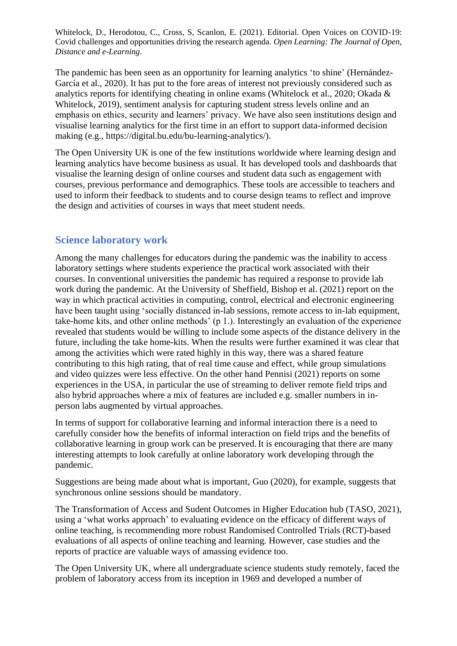The pandemic has been seen as an opportunity for learning analytics 'to shine' (Hernández-García et al., 2020). It has put to the fore areas of interest not previously considered such as analytics reports for identifying cheating in online exams (Whitelock et al., 2020; Okada & Whitelock, 2019), sentiment analysis for capturing student stress levels online and an emphasis on ethics, security and learners' privacy. We have also seen institutions design and visualise learning analytics for the first time in an effort to support data-informed decision making (e.g., [https://digital.bu.edu/bu-learning-analytics/\)](https://digital.bu.edu/bu-learning-analytics/).

The Open University UK is one of the few institutions worldwide where learning design and learning analytics have become business as usual. It has developed tools and dashboards that visualise the learning design of online courses and student data such as engagement with courses, previous performance and demographics. These tools are accessible to teachers and used to inform their feedback to students and to course design teams to reflect and improve the design and activities of courses in ways that meet student needs.

#### **Science laboratory work**

Among the many challenges for educators during the pandemic was the inability to access laboratory settings where students experience the practical work associated with their courses. In conventional universities the pandemic has required a response to provide lab work during the pandemic. At the University of Sheffield, Bishop et al. (2021) report on the way in which practical activities in computing, control, electrical and electronic engineering have been taught using 'socially distanced in-lab sessions, remote access to in-lab equipment, take-home kits, and other online methods' (p 1.). Interestingly an evaluation of the experience revealed that students would be willing to include some aspects of the distance delivery in the future, including the take home-kits. When the results were further examined it was clear that among the activities which were rated highly in this way, there was a shared feature contributing to this high rating, that of real time cause and effect, while group simulations and video quizzes were less effective. On the other hand Pennisi (2021) reports on some experiences in the USA, in particular the use of streaming to deliver remote field trips and also hybrid approaches where a mix of features are included e.g. smaller numbers in inperson labs augmented by virtual approaches.

In terms of support for collaborative learning and informal interaction there is a need to carefully consider how the benefits of informal interaction on field trips and the benefits of collaborative learning in group work can be preserved.It is encouraging that there are many interesting attempts to look carefully at online laboratory work developing through the pandemic.

Suggestions are being made about what is important, Guo (2020), for example, suggests that synchronous online sessions should be mandatory.

The Transformation of Access and Sudent Outcomes in Higher Education hub (TASO, 2021), using a 'what works approach' to evaluating evidence on the efficacy of different ways of online teaching, is recommending more robust Randomised Controlled Trials (RCT)-based evaluations of all aspects of online teaching and learning. However, case studies and the reports of practice are valuable ways of amassing evidence too.

The Open University UK, where all undergraduate science students study remotely, faced the problem of laboratory access from its inception in 1969 and developed a number of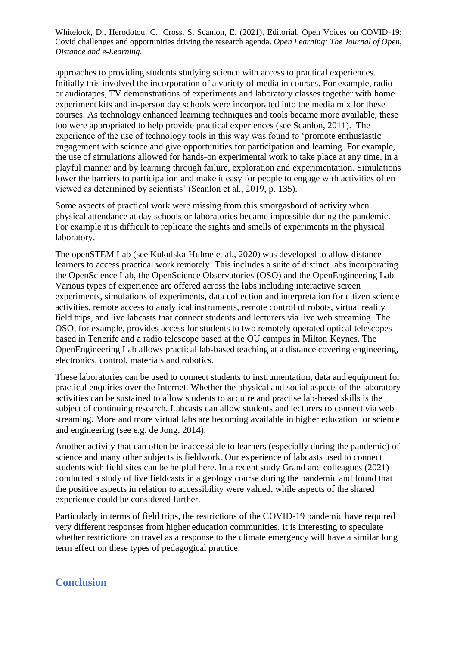approaches to providing students studying science with access to practical experiences. Initially this involved the incorporation of a variety of media in courses. For example, radio or audiotapes, TV demonstrations of experiments and laboratory classes together with home experiment kits and in-person day schools were incorporated into the media mix for these courses. As technology enhanced learning techniques and tools became more available, these too were appropriated to help provide practical experiences (see Scanlon, 2011). The experience of the use of technology tools in this way was found to 'promote enthusiastic engagement with science and give opportunities for participation and learning. For example, the use of simulations allowed for hands-on experimental work to take place at any time, in a playful manner and by learning through failure, exploration and experimentation. Simulations lower the barriers to participation and make it easy for people to engage with activities often viewed as determined by scientists' (Scanlon et al., 2019, p. 135).

Some aspects of practical work were missing from this smorgasbord of activity when physical attendance at day schools or laboratories became impossible during the pandemic. For example it is difficult to replicate the sights and smells of experiments in the physical laboratory.

The openSTEM Lab (see Kukulska-Hulme et al., 2020) was developed to allow distance learners to access practical work remotely. This includes a suite of distinct labs incorporating the OpenScience Lab, the OpenScience Observatories (OSO) and the OpenEngineering Lab. Various types of experience are offered across the labs including interactive screen experiments, simulations of experiments, data collection and interpretation for citizen science activities, remote access to analytical instruments, remote control of robots, virtual reality field trips, and live labcasts that connect students and lecturers via live web streaming. The OSO, for example, provides access for students to two remotely operated optical telescopes based in Tenerife and a radio telescope based at the OU campus in Milton Keynes. The OpenEngineering Lab allows practical lab-based teaching at a distance covering engineering, electronics, control, materials and robotics.

These laboratories can be used to connect students to instrumentation, data and equipment for practical enquiries over the Internet. Whether the physical and social aspects of the laboratory activities can be sustained to allow students to acquire and practise lab-based skills is the subject of continuing research. Labcasts can allow students and lecturers to connect via web streaming. More and more virtual labs are becoming available in higher education for science and engineering (see e.g. de Jong, 2014).

Another activity that can often be inaccessible to learners (especially during the pandemic) of science and many other subjects is fieldwork. Our experience of labcasts used to connect students with field sites can be helpful here. In a recent study Grand and colleagues (2021) conducted a study of live fieldcasts in a geology course during the pandemic and found that the positive aspects in relation to accessibility were valued, while aspects of the shared experience could be considered further.

Particularly in terms of field trips, the restrictions of the COVID-19 pandemic have required very different responses from higher education communities. It is interesting to speculate whether restrictions on travel as a response to the climate emergency will have a similar long term effect on these types of pedagogical practice.

#### **Conclusion**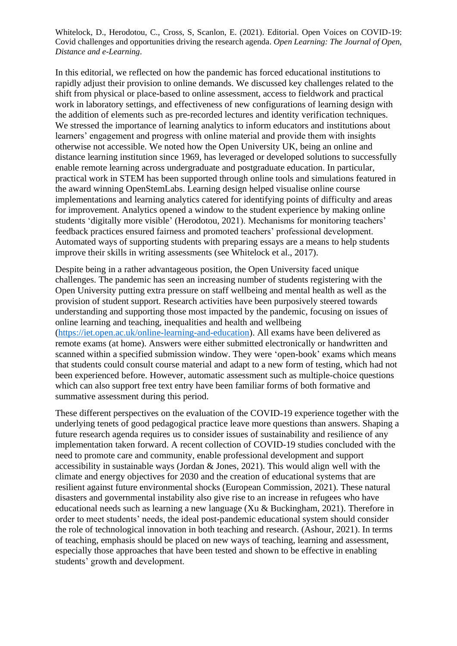In this editorial, we reflected on how the pandemic has forced educational institutions to rapidly adjust their provision to online demands. We discussed key challenges related to the shift from physical or place-based to online assessment, access to fieldwork and practical work in laboratory settings, and effectiveness of new configurations of learning design with the addition of elements such as pre-recorded lectures and identity verification techniques. We stressed the importance of learning analytics to inform educators and institutions about learners' engagement and progress with online material and provide them with insights otherwise not accessible. We noted how the Open University UK, being an online and distance learning institution since 1969, has leveraged or developed solutions to successfully enable remote learning across undergraduate and postgraduate education. In particular, practical work in STEM has been supported through online tools and simulations featured in the award winning OpenStemLabs. Learning design helped visualise online course implementations and learning analytics catered for identifying points of difficulty and areas for improvement. Analytics opened a window to the student experience by making online students 'digitally more visible' (Herodotou, 2021). Mechanisms for monitoring teachers' feedback practices ensured fairness and promoted teachers' professional development. Automated ways of supporting students with preparing essays are a means to help students improve their skills in writing assessments (see Whitelock et al., 2017).

Despite being in a rather advantageous position, the Open University faced unique challenges. The pandemic has seen an increasing number of students registering with the Open University putting extra pressure on staff wellbeing and mental health as well as the provision of student support. Research activities have been purposively steered towards understanding and supporting those most impacted by the pandemic, focusing on issues of online learning and teaching, inequalities and health and wellbeing [\(https://iet.open.ac.uk/online-learning-and-education\)](https://iet.open.ac.uk/online-learning-and-education). All exams have been delivered as remote exams (at home). Answers were either submitted electronically or handwritten and scanned within a specified submission window. They were 'open-book' exams which means that students could consult course material and adapt to a new form of testing, which had not been experienced before. However, automatic assessment such as multiple-choice questions which can also support free text entry have been familiar forms of both formative and summative assessment during this period.

These different perspectives on the evaluation of the COVID-19 experience together with the underlying tenets of good pedagogical practice leave more questions than answers. Shaping a future research agenda requires us to consider issues of sustainability and resilience of any implementation taken forward. A recent collection of COVID-19 studies concluded with the need to promote care and community, enable professional development and support accessibility in sustainable ways (Jordan & Jones, 2021). This would align well with the climate and energy objectives for 2030 and the creation of educational systems that are resilient against future environmental shocks (European Commission, 2021). These natural disasters and governmental instability also give rise to an increase in refugees who have educational needs such as learning a new language (Xu & Buckingham, 2021). Therefore in order to meet students' needs, the ideal post-pandemic educational system should consider the role of technological innovation in both teaching and research. (Ashour, 2021). In terms of teaching, emphasis should be placed on new ways of teaching, learning and assessment, especially those approaches that have been tested and shown to be effective in enabling students' growth and development.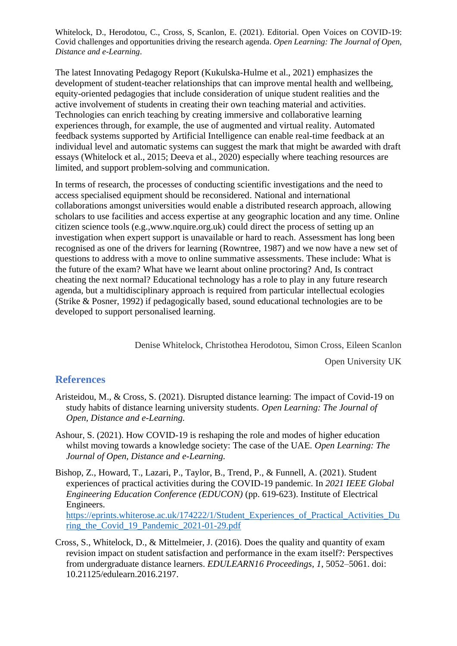The latest Innovating Pedagogy Report (Kukulska-Hulme et al., 2021) emphasizes the development of student-teacher relationships that can improve mental health and wellbeing, equity-oriented pedagogies that include consideration of unique student realities and the active involvement of students in creating their own teaching material and activities. Technologies can enrich teaching by creating immersive and collaborative learning experiences through, for example, the use of augmented and virtual reality. Automated feedback systems supported by Artificial Intelligence can enable real-time feedback at an individual level and automatic systems can suggest the mark that might be awarded with draft essays (Whitelock et al., 2015; Deeva et al., 2020) especially where teaching resources are limited, and support problem-solving and communication.

In terms of research, the processes of conducting scientific investigations and the need to access specialised equipment should be reconsidered. National and international collaborations amongst universities would enable a distributed research approach, allowing scholars to use facilities and access expertise at any geographic location and any time. Online citizen science tools (e.g.,www.nquire.org.uk) could direct the process of setting up an investigation when expert support is unavailable or hard to reach. Assessment has long been recognised as one of the drivers for learning (Rowntree, 1987) and we now have a new set of questions to address with a move to online summative assessments. These include: What is the future of the exam? What have we learnt about online proctoring? And, Is contract cheating the next normal? Educational technology has a role to play in any future research agenda, but a multidisciplinary approach is required from particular intellectual ecologies (Strike & Posner, 1992) if pedagogically based, sound educational technologies are to be developed to support personalised learning.

Denise Whitelock, [Christothea Herodotou,](mailto:Christothea%20Herodotou,) Simon Cross, Eileen Scanlon

Open University UK

#### **References**

- Aristeidou, M., & Cross, S. (2021). Disrupted distance learning: The impact of Covid-19 on study habits of distance learning university students. *Open Learning: The Journal of Open, Distance and e-Learning.*
- Ashour, S. (2021). How COVID-19 is reshaping the role and modes of higher education whilst moving towards a knowledge society: The case of the UAE. *Open Learning: The Journal of Open, Distance and e-Learning.*
- Bishop, Z., Howard, T., Lazari, P., Taylor, B., Trend, P., & Funnell, A. (2021). Student experiences of practical activities during the COVID-19 pandemic. In *2021 IEEE Global Engineering Education Conference (EDUCON)* (pp. 619-623). Institute of Electrical Engineers. [https://eprints.whiterose.ac.uk/174222/1/Student\\_Experiences\\_of\\_Practical\\_Activities\\_Du](https://eprints.whiterose.ac.uk/174222/1/Student_Experiences_of_Practical_Activities_During_the_Covid_19_Pandemic_2021-01-29.pdf) ring the Covid 19 Pandemic 2021-01-29.pdf
- Cross, S., Whitelock, D., & Mittelmeier, J. (2016). Does the quality and quantity of exam revision impact on student satisfaction and performance in the exam itself?: Perspectives from undergraduate distance learners. *EDULEARN16 Proceedings*, *1*, 5052–5061. doi: 10.21125/edulearn.2016.2197.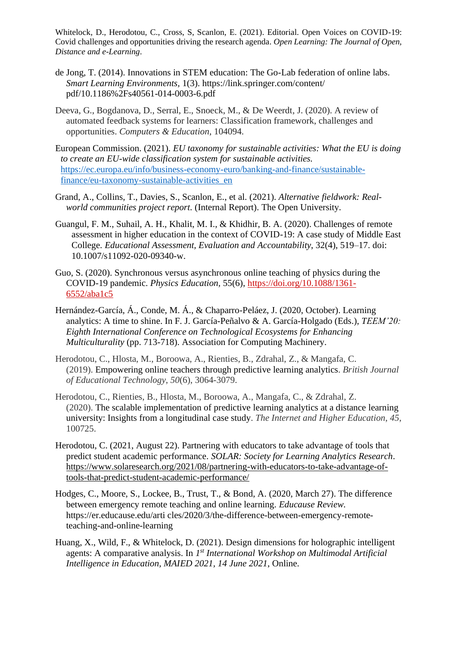- de Jong, T. (2014). Innovations in STEM education: The Go-Lab federation of online labs. *Smart Learning Environments,* 1(3). https://link.springer.com/content/ pdf/10.1186%2Fs40561-014-0003-6.pdf
- Deeva, G., Bogdanova, D., Serral, E., Snoeck, M., & De Weerdt, J. (2020). A review of automated feedback systems for learners: Classification framework, challenges and opportunities. *Computers & Education*, 104094.
- European Commission. (2021). *EU taxonomy for sustainable activities: What the EU is doing to create an EU-wide classification system for sustainable activities.* [https://ec.europa.eu/info/business-economy-euro/banking-and-finance/sustainable](https://ec.europa.eu/info/business-economy-euro/banking-and-finance/sustainable-finance/eu-taxonomy-sustainable-activities_en)[finance/eu-taxonomy-sustainable-activities\\_en](https://ec.europa.eu/info/business-economy-euro/banking-and-finance/sustainable-finance/eu-taxonomy-sustainable-activities_en)
- Grand, A., Collins, T., Davies, S., Scanlon, E., et al. (2021). *Alternative fieldwork: Realworld communities project report.* (Internal Report). The Open University.
- Guangul, F. M., Suhail, A. H., Khalit, M. I., & Khidhir, B. A. (2020). Challenges of remote assessment in higher education in the context of COVID-19: A case study of Middle East College. *Educational Assessment, Evaluation and Accountability*, 32(4), 519–17. doi: 10.1007/s11092-020-09340-w.
- Guo, S. (2020). Synchronous versus asynchronous online teaching of physics during the COVID-19 pandemic. *Physics Education,* 55(6), [https://doi.org/10.1088/1361-](https://doi.org/10.1088/1361-6552/aba1c5) [6552/aba1c5](https://doi.org/10.1088/1361-6552/aba1c5)
- Hernández-García, Á., Conde, M. Á., & Chaparro-Peláez, J. (2020, October). Learning analytics: A time to shine. In F. J. García-Peñalvo & A. García-Holgado (Eds.), *TEEM'20: Eighth International Conference on Technological Ecosystems for Enhancing Multiculturality* (pp. 713-718). Association for Computing Machinery.
- Herodotou, C., Hlosta, M., Boroowa, A., Rienties, B., Zdrahal, Z., & Mangafa, C. (2019). Empowering online teachers through predictive learning analytics. *British Journal of Educational Technology*, *50*(6), 3064-3079.
- Herodotou, C., Rienties, B., Hlosta, M., Boroowa, A., Mangafa, C., & Zdrahal, Z. (2020). The scalable implementation of predictive learning analytics at a distance learning university: Insights from a longitudinal case study. *The Internet and Higher Education*, *45*, 100725.
- Herodotou, C. (2021, August 22). Partnering with educators to take advantage of tools that predict student academic performance. *SOLAR: Society for Learning Analytics Research*. [https://www.solaresearch.org/2021/08/partnering-with-educators-to-take-advantage-of](https://www.solaresearch.org/2021/08/partnering-with-educators-to-take-advantage-of-tools-that-predict-student-academic-performance/)[tools-that-predict-student-academic-performance/](https://www.solaresearch.org/2021/08/partnering-with-educators-to-take-advantage-of-tools-that-predict-student-academic-performance/)
- Hodges, C., Moore, S., Lockee, B., Trust, T., & Bond, A. (2020, March 27). The difference between emergency remote teaching and online learning. *Educause Review.* https://er.educause.edu/arti cles/2020/3/the-difference-between-emergency-remoteteaching-and-online-learning
- Huang, X., Wild, F., & Whitelock, D. (2021). Design dimensions for holographic intelligent agents: A comparative analysis. In 1<sup>st</sup> International Workshop on Multimodal Artificial *Intelligence in Education, MAIED 2021, 14 June 2021*, Online.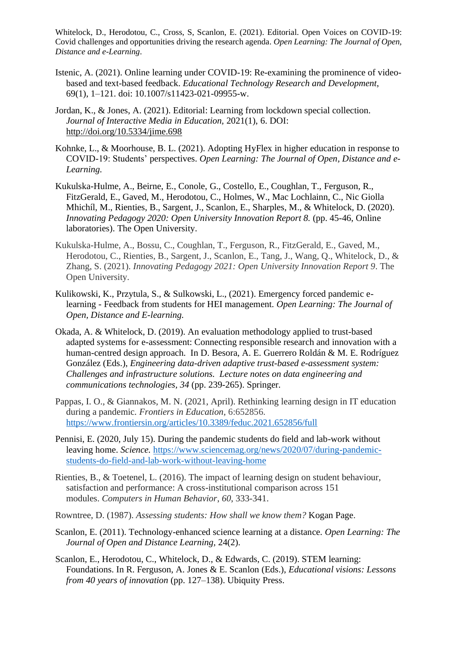- Istenic, A. (2021). Online learning under COVID-19: Re-examining the prominence of videobased and text-based feedback. *Educational Technology Research and Development*, 69(1), 1–121. doi: 10.1007/s11423-021-09955-w.
- Jordan, K., & Jones, A. (2021). Editorial: Learning from lockdown special collection. *Journal of Interactive Media in Education,* 2021(1), 6. DOI: <http://doi.org/10.5334/jime.698>
- Kohnke, L., & Moorhouse, B. L. (2021). Adopting HyFlex in higher education in response to COVID-19: Students' perspectives. *Open Learning: The Journal of Open, Distance and e-Learning.*
- Kukulska-Hulme, A., Beirne, E., Conole, G., Costello, E., Coughlan, T., Ferguson, R., FitzGerald, E., Gaved, M., Herodotou, C., Holmes, W., Mac Lochlainn, C., Nic Giolla Mhichíl, M., Rienties, B., Sargent, J., Scanlon, E., Sharples, M., & Whitelock, D. (2020). *Innovating Pedagogy 2020: Open University Innovation Report 8.* (pp. 45-46, Online laboratories). The Open University.
- Kukulska-Hulme, A., Bossu, C., Coughlan, T., Ferguson, R., FitzGerald, E., Gaved, M., Herodotou, C., Rienties, B., Sargent, J., Scanlon, E., Tang, J., Wang, Q., Whitelock, D., & Zhang, S. (2021). *Innovating Pedagogy 2021: Open University Innovation Report 9*. The Open University.
- Kulikowski, K., Przytula, S., & Sulkowski, L., (2021). Emergency forced pandemic elearning - Feedback from students for HEI management. *Open Learning: The Journal of Open, Distance and E-learning.*
- Okada, A. & Whitelock, D. (2019). An evaluation methodology applied to trust-based adapted systems for e-assessment: Connecting responsible research and innovation with a human-centred design approach. In D. Besora, A. E. Guerrero Roldán & M. E. Rodríguez González (Eds.), *Engineering data-driven adaptive trust-based e-assessment system: Challenges and infrastructure solutions. Lecture notes on data engineering and communications technologies, 34* (pp. 239-265). Springer.
- Pappas, I. O., & Giannakos, M. N. (2021, April). Rethinking learning design in IT education during a pandemic. *Frontiers in Education,* 6:652856. <https://www.frontiersin.org/articles/10.3389/feduc.2021.652856/full>
- Pennisi, E. (2020, July 15). During the pandemic students do field and lab-work without leaving home. *Science.* [https://www.sciencemag.org/news/2020/07/during-pandemic](https://www.sciencemag.org/news/2020/07/during-pandemic-students-do-field-and-lab-work-without-leaving-home)[students-do-field-and-lab-work-without-leaving-home](https://www.sciencemag.org/news/2020/07/during-pandemic-students-do-field-and-lab-work-without-leaving-home)
- Rienties, B., & Toetenel, L. (2016). The impact of learning design on student behaviour, satisfaction and performance: A cross-institutional comparison across 151 modules. *Computers in Human Behavior*, *60*, 333-341.
- Rowntree, D. (1987). *Assessing students: How shall we know them?* Kogan Page.
- Scanlon, E. (2011). Technology-enhanced science learning at a distance. *Open Learning: The Journal of Open and Distance Learning,* 24(2).
- Scanlon, E., Herodotou, C., Whitelock, D., & Edwards, C. (2019). STEM learning: Foundations. In R. Ferguson, A. Jones & E. Scanlon (Eds.), *Educational visions: Lessons from 40 years of innovation* (pp. 127–138). Ubiquity Press.